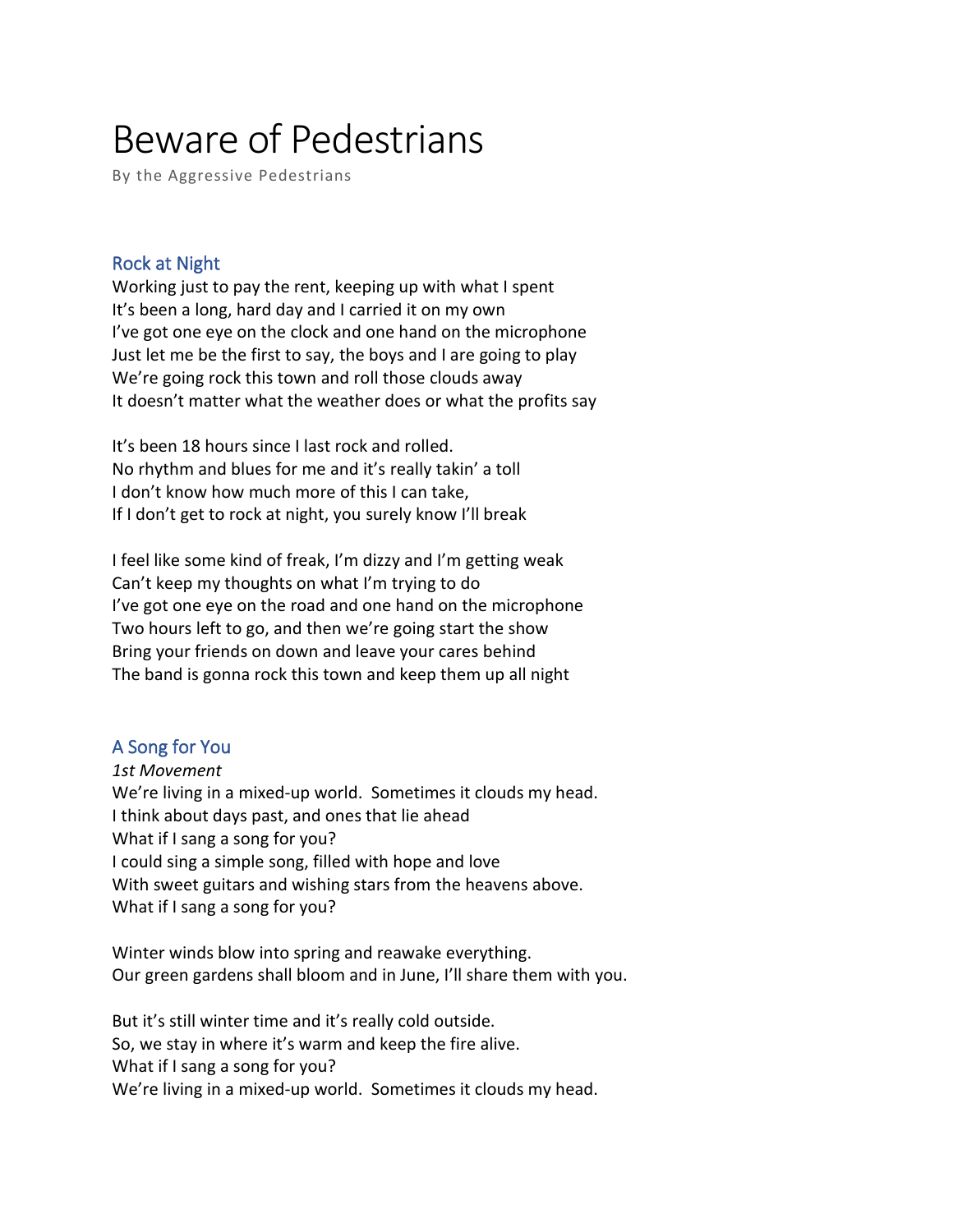# Beware of Pedestrians

By the Aggressive Pedestrians

# Rock at Night

Working just to pay the rent, keeping up with what I spent It's been a long, hard day and I carried it on my own I've got one eye on the clock and one hand on the microphone Just let me be the first to say, the boys and I are going to play We're going rock this town and roll those clouds away It doesn't matter what the weather does or what the profits say

It's been 18 hours since I last rock and rolled. No rhythm and blues for me and it's really takin' a toll I don't know how much more of this I can take, If I don't get to rock at night, you surely know I'll break

I feel like some kind of freak, I'm dizzy and I'm getting weak Can't keep my thoughts on what I'm trying to do I've got one eye on the road and one hand on the microphone Two hours left to go, and then we're going start the show Bring your friends on down and leave your cares behind The band is gonna rock this town and keep them up all night

# A Song for You

*1st Movement* We're living in a mixed-up world. Sometimes it clouds my head. I think about days past, and ones that lie ahead What if I sang a song for you? I could sing a simple song, filled with hope and love With sweet guitars and wishing stars from the heavens above. What if I sang a song for you?

Winter winds blow into spring and reawake everything. Our green gardens shall bloom and in June, I'll share them with you.

But it's still winter time and it's really cold outside. So, we stay in where it's warm and keep the fire alive. What if I sang a song for you? We're living in a mixed-up world. Sometimes it clouds my head.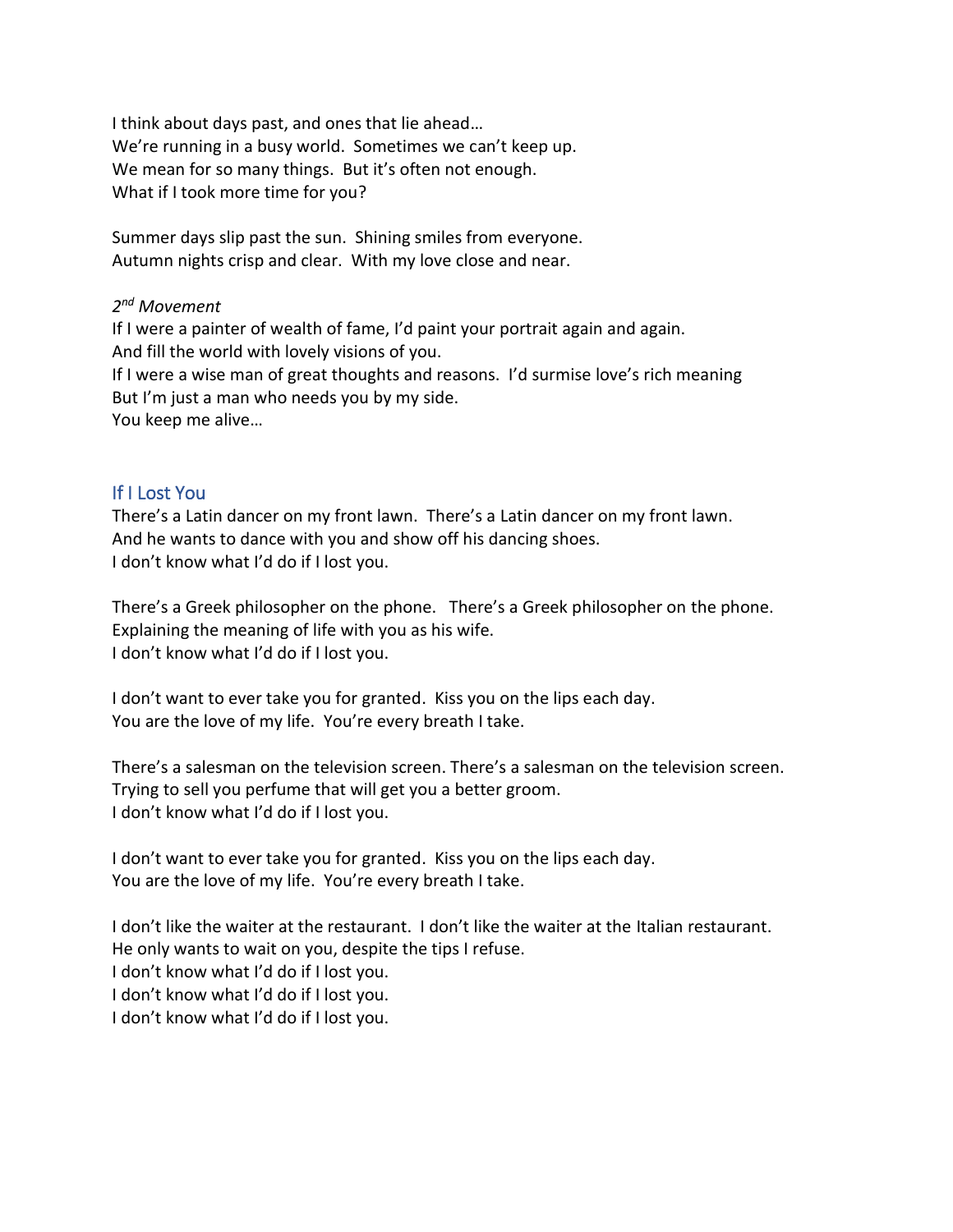I think about days past, and ones that lie ahead… We're running in a busy world. Sometimes we can't keep up. We mean for so many things. But it's often not enough. What if I took more time for you?

Summer days slip past the sun. Shining smiles from everyone. Autumn nights crisp and clear. With my love close and near.

## *2 nd Movement*

If I were a painter of wealth of fame, I'd paint your portrait again and again. And fill the world with lovely visions of you. If I were a wise man of great thoughts and reasons. I'd surmise love's rich meaning But I'm just a man who needs you by my side. You keep me alive…

## If I Lost You

There's a Latin dancer on my front lawn. There's a Latin dancer on my front lawn. And he wants to dance with you and show off his dancing shoes. I don't know what I'd do if I lost you.

There's a Greek philosopher on the phone. There's a Greek philosopher on the phone. Explaining the meaning of life with you as his wife. I don't know what I'd do if I lost you.

I don't want to ever take you for granted. Kiss you on the lips each day. You are the love of my life. You're every breath I take.

There's a salesman on the television screen. There's a salesman on the television screen. Trying to sell you perfume that will get you a better groom. I don't know what I'd do if I lost you.

I don't want to ever take you for granted. Kiss you on the lips each day. You are the love of my life. You're every breath I take.

I don't like the waiter at the restaurant. I don't like the waiter at the Italian restaurant. He only wants to wait on you, despite the tips I refuse. I don't know what I'd do if I lost you. I don't know what I'd do if I lost you. I don't know what I'd do if I lost you.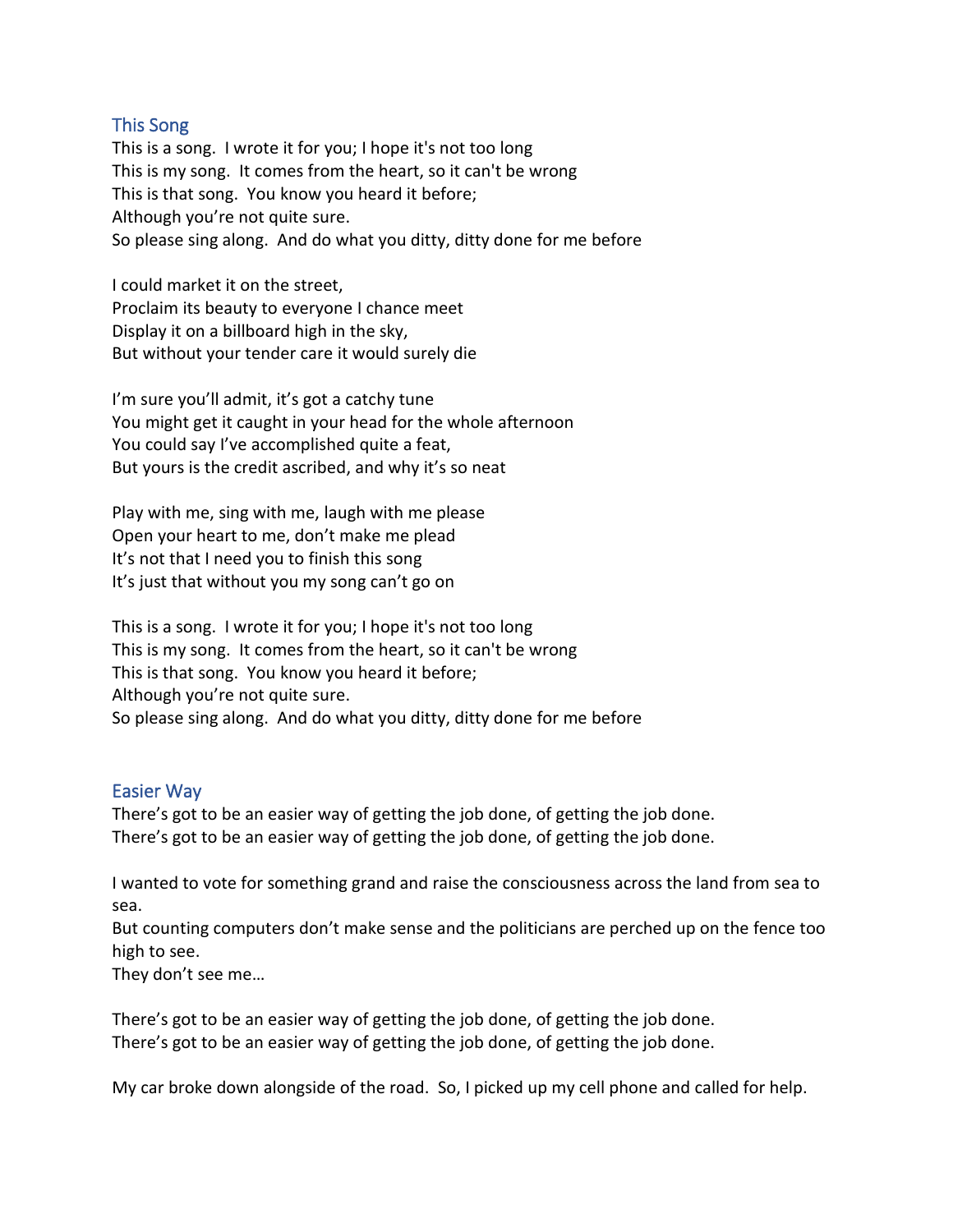## This Song

This is a song. I wrote it for you; I hope it's not too long This is my song. It comes from the heart, so it can't be wrong This is that song. You know you heard it before; Although you're not quite sure. So please sing along. And do what you ditty, ditty done for me before

I could market it on the street, Proclaim its beauty to everyone I chance meet Display it on a billboard high in the sky, But without your tender care it would surely die

I'm sure you'll admit, it's got a catchy tune You might get it caught in your head for the whole afternoon You could say I've accomplished quite a feat, But yours is the credit ascribed, and why it's so neat

Play with me, sing with me, laugh with me please Open your heart to me, don't make me plead It's not that I need you to finish this song It's just that without you my song can't go on

This is a song. I wrote it for you; I hope it's not too long This is my song. It comes from the heart, so it can't be wrong This is that song. You know you heard it before; Although you're not quite sure. So please sing along. And do what you ditty, ditty done for me before

#### Easier Way

There's got to be an easier way of getting the job done, of getting the job done. There's got to be an easier way of getting the job done, of getting the job done.

I wanted to vote for something grand and raise the consciousness across the land from sea to sea.

But counting computers don't make sense and the politicians are perched up on the fence too high to see.

They don't see me…

There's got to be an easier way of getting the job done, of getting the job done. There's got to be an easier way of getting the job done, of getting the job done.

My car broke down alongside of the road. So, I picked up my cell phone and called for help.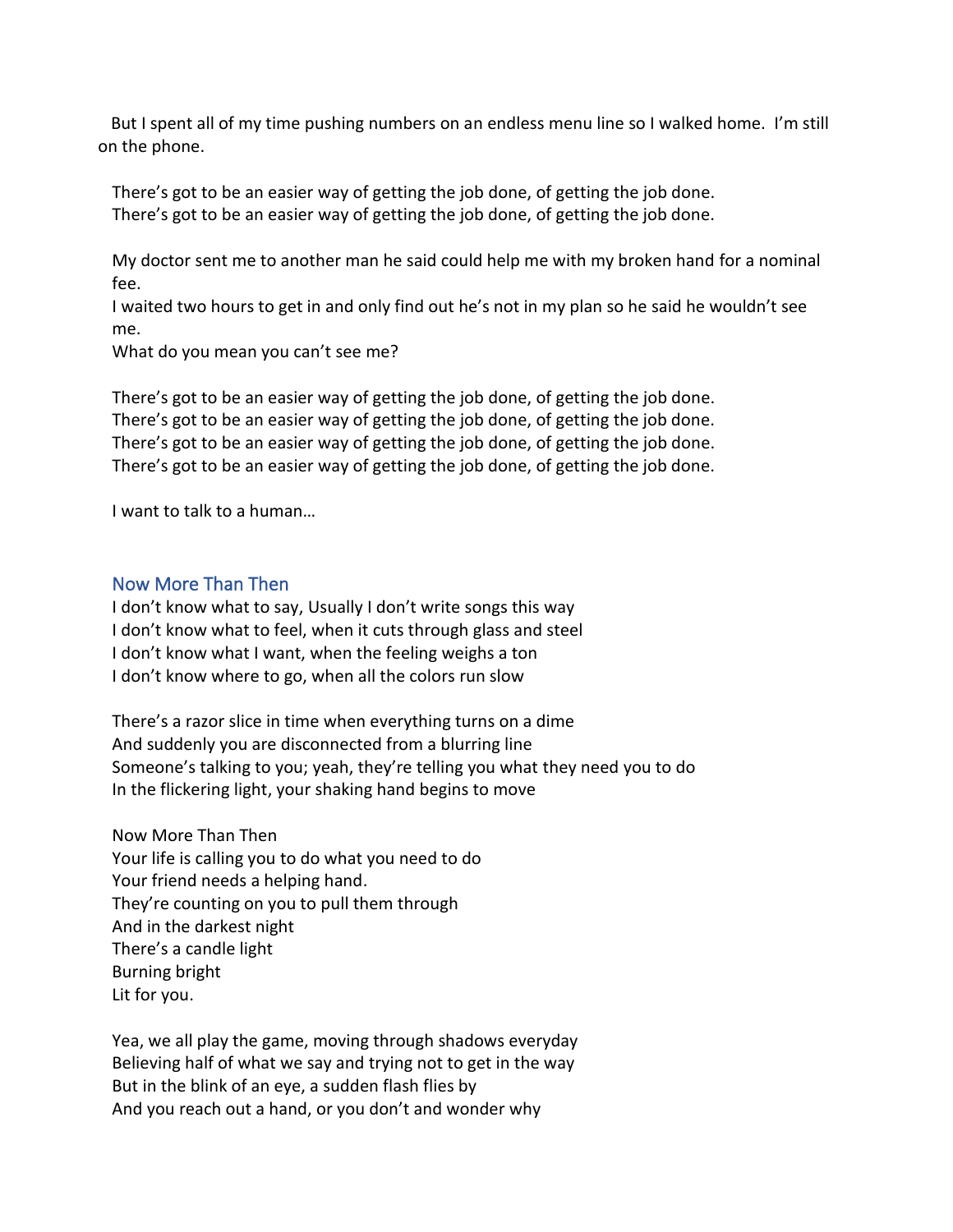But I spent all of my time pushing numbers on an endless menu line so I walked home. I'm still on the phone.

There's got to be an easier way of getting the job done, of getting the job done. There's got to be an easier way of getting the job done, of getting the job done.

My doctor sent me to another man he said could help me with my broken hand for a nominal fee.

I waited two hours to get in and only find out he's not in my plan so he said he wouldn't see me.

What do you mean you can't see me?

There's got to be an easier way of getting the job done, of getting the job done. There's got to be an easier way of getting the job done, of getting the job done. There's got to be an easier way of getting the job done, of getting the job done. There's got to be an easier way of getting the job done, of getting the job done.

I want to talk to a human…

# Now More Than Then

I don't know what to say, Usually I don't write songs this way I don't know what to feel, when it cuts through glass and steel I don't know what I want, when the feeling weighs a ton I don't know where to go, when all the colors run slow

There's a razor slice in time when everything turns on a dime And suddenly you are disconnected from a blurring line Someone's talking to you; yeah, they're telling you what they need you to do In the flickering light, your shaking hand begins to move

Now More Than Then Your life is calling you to do what you need to do Your friend needs a helping hand. They're counting on you to pull them through And in the darkest night There's a candle light Burning bright Lit for you.

Yea, we all play the game, moving through shadows everyday Believing half of what we say and trying not to get in the way But in the blink of an eye, a sudden flash flies by And you reach out a hand, or you don't and wonder why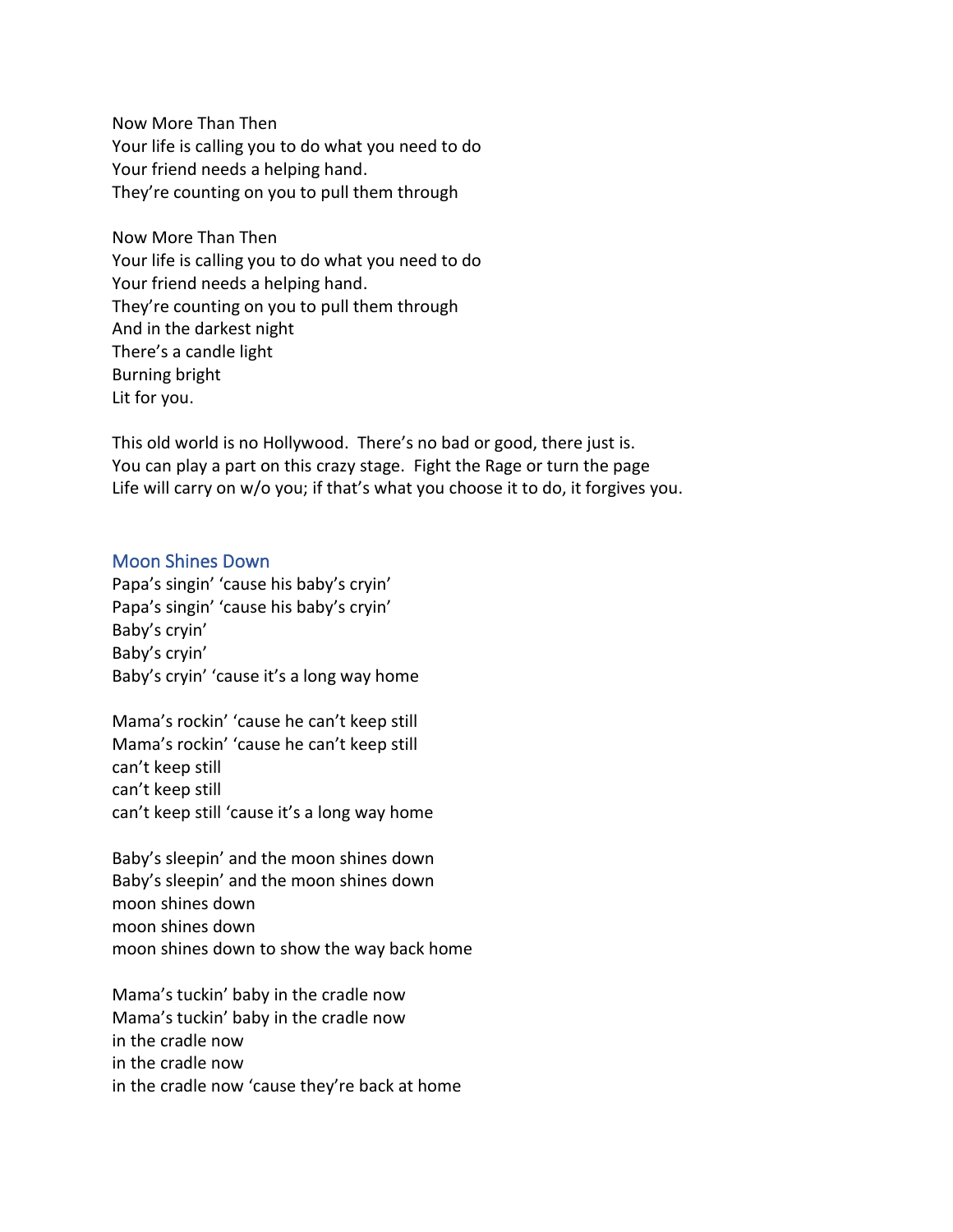Now More Than Then Your life is calling you to do what you need to do Your friend needs a helping hand. They're counting on you to pull them through

Now More Than Then Your life is calling you to do what you need to do Your friend needs a helping hand. They're counting on you to pull them through And in the darkest night There's a candle light Burning bright Lit for you.

This old world is no Hollywood. There's no bad or good, there just is. You can play a part on this crazy stage. Fight the Rage or turn the page Life will carry on w/o you; if that's what you choose it to do, it forgives you.

#### Moon Shines Down

Papa's singin' 'cause his baby's cryin' Papa's singin' 'cause his baby's cryin' Baby's cryin' Baby's cryin' Baby's cryin' 'cause it's a long way home

Mama's rockin' 'cause he can't keep still Mama's rockin' 'cause he can't keep still can't keep still can't keep still can't keep still 'cause it's a long way home

Baby's sleepin' and the moon shines down Baby's sleepin' and the moon shines down moon shines down moon shines down moon shines down to show the way back home

Mama's tuckin' baby in the cradle now Mama's tuckin' baby in the cradle now in the cradle now in the cradle now in the cradle now 'cause they're back at home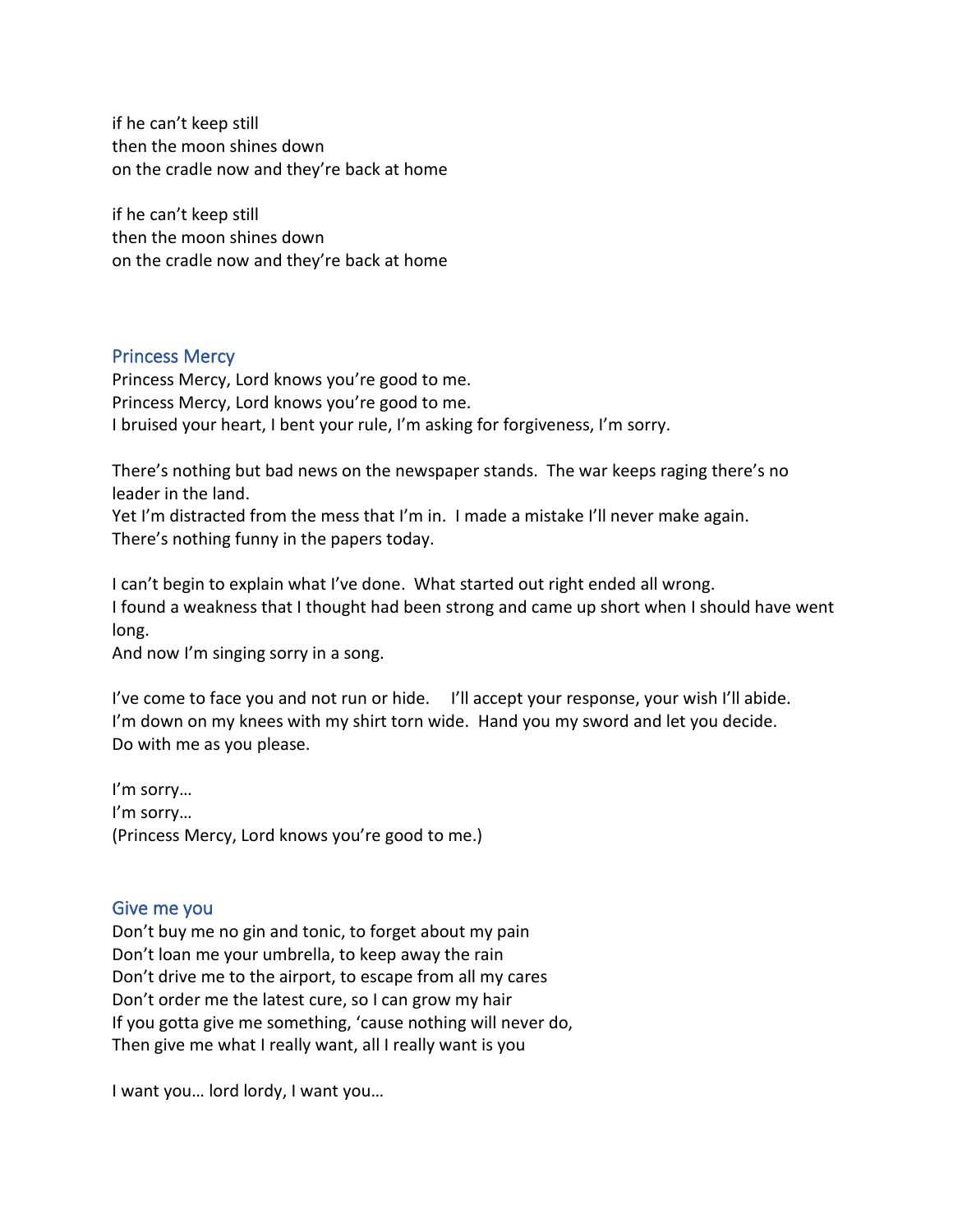if he can't keep still then the moon shines down on the cradle now and they're back at home

if he can't keep still then the moon shines down on the cradle now and they're back at home

#### Princess Mercy

Princess Mercy, Lord knows you're good to me. Princess Mercy, Lord knows you're good to me. I bruised your heart, I bent your rule, I'm asking for forgiveness, I'm sorry.

There's nothing but bad news on the newspaper stands. The war keeps raging there's no leader in the land.

Yet I'm distracted from the mess that I'm in. I made a mistake I'll never make again. There's nothing funny in the papers today.

I can't begin to explain what I've done. What started out right ended all wrong. I found a weakness that I thought had been strong and came up short when I should have went long.

And now I'm singing sorry in a song.

I've come to face you and not run or hide. I'll accept your response, your wish I'll abide. I'm down on my knees with my shirt torn wide. Hand you my sword and let you decide. Do with me as you please.

I'm sorry… I'm sorry… (Princess Mercy, Lord knows you're good to me.)

#### Give me you

Don't buy me no gin and tonic, to forget about my pain Don't loan me your umbrella, to keep away the rain Don't drive me to the airport, to escape from all my cares Don't order me the latest cure, so I can grow my hair If you gotta give me something, 'cause nothing will never do, Then give me what I really want, all I really want is you

I want you… lord lordy, I want you…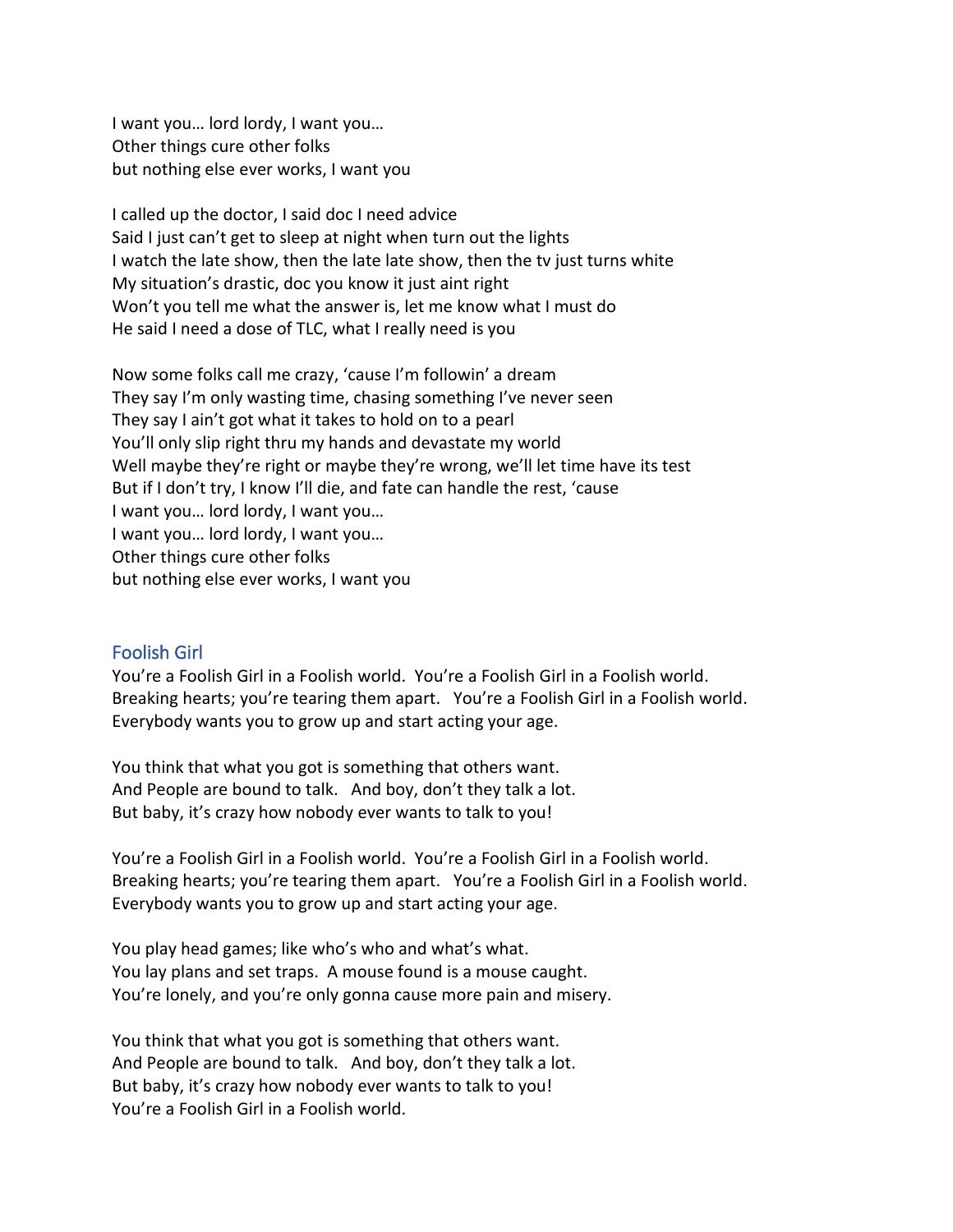I want you… lord lordy, I want you… Other things cure other folks but nothing else ever works, I want you

I called up the doctor, I said doc I need advice Said I just can't get to sleep at night when turn out the lights I watch the late show, then the late late show, then the tv just turns white My situation's drastic, doc you know it just aint right Won't you tell me what the answer is, let me know what I must do He said I need a dose of TLC, what I really need is you

Now some folks call me crazy, 'cause I'm followin' a dream They say I'm only wasting time, chasing something I've never seen They say I ain't got what it takes to hold on to a pearl You'll only slip right thru my hands and devastate my world Well maybe they're right or maybe they're wrong, we'll let time have its test But if I don't try, I know I'll die, and fate can handle the rest, 'cause I want you… lord lordy, I want you… I want you… lord lordy, I want you… Other things cure other folks but nothing else ever works, I want you

#### Foolish Girl

You're a Foolish Girl in a Foolish world. You're a Foolish Girl in a Foolish world. Breaking hearts; you're tearing them apart. You're a Foolish Girl in a Foolish world. Everybody wants you to grow up and start acting your age.

You think that what you got is something that others want. And People are bound to talk. And boy, don't they talk a lot. But baby, it's crazy how nobody ever wants to talk to you!

You're a Foolish Girl in a Foolish world. You're a Foolish Girl in a Foolish world. Breaking hearts; you're tearing them apart. You're a Foolish Girl in a Foolish world. Everybody wants you to grow up and start acting your age.

You play head games; like who's who and what's what. You lay plans and set traps. A mouse found is a mouse caught. You're lonely, and you're only gonna cause more pain and misery.

You think that what you got is something that others want. And People are bound to talk. And boy, don't they talk a lot. But baby, it's crazy how nobody ever wants to talk to you! You're a Foolish Girl in a Foolish world.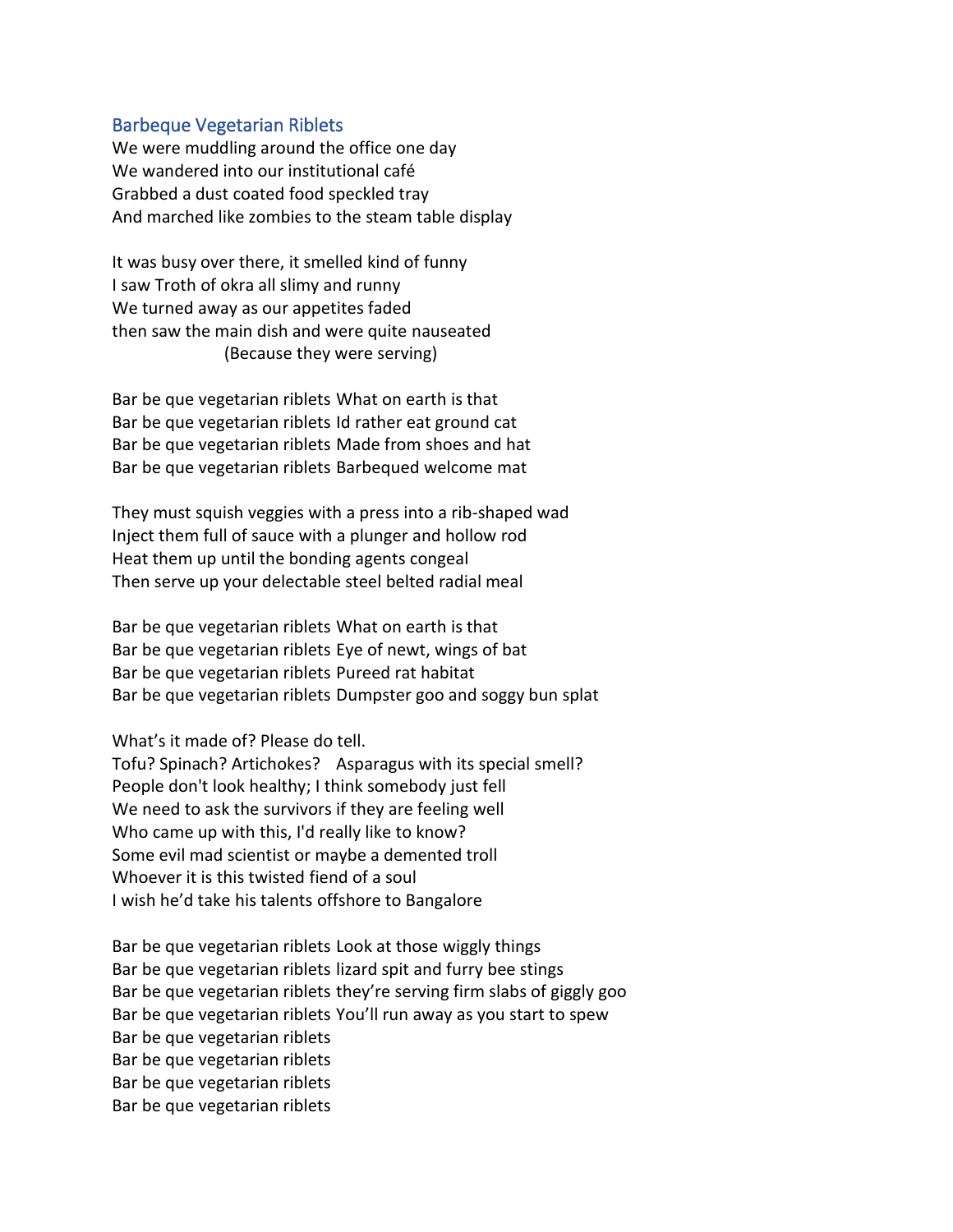#### Barbeque Vegetarian Riblets

We were muddling around the office one day We wandered into our institutional café Grabbed a dust coated food speckled tray And marched like zombies to the steam table display

It was busy over there, it smelled kind of funny I saw Troth of okra all slimy and runny We turned away as our appetites faded then saw the main dish and were quite nauseated (Because they were serving)

Bar be que vegetarian riblets What on earth is that Bar be que vegetarian riblets Id rather eat ground cat Bar be que vegetarian riblets Made from shoes and hat Bar be que vegetarian riblets Barbequed welcome mat

They must squish veggies with a press into a rib-shaped wad Inject them full of sauce with a plunger and hollow rod Heat them up until the bonding agents congeal Then serve up your delectable steel belted radial meal

Bar be que vegetarian riblets What on earth is that Bar be que vegetarian riblets Eye of newt, wings of bat Bar be que vegetarian riblets Pureed rat habitat Bar be que vegetarian riblets Dumpster goo and soggy bun splat

What's it made of? Please do tell.

Tofu? Spinach? Artichokes? Asparagus with its special smell? People don't look healthy; I think somebody just fell We need to ask the survivors if they are feeling well Who came up with this, I'd really like to know? Some evil mad scientist or maybe a demented troll Whoever it is this twisted fiend of a soul I wish he'd take his talents offshore to Bangalore

Bar be que vegetarian riblets Look at those wiggly things Bar be que vegetarian riblets lizard spit and furry bee stings Bar be que vegetarian riblets they're serving firm slabs of giggly goo Bar be que vegetarian riblets You'll run away as you start to spew Bar be que vegetarian riblets Bar be que vegetarian riblets Bar be que vegetarian riblets Bar be que vegetarian riblets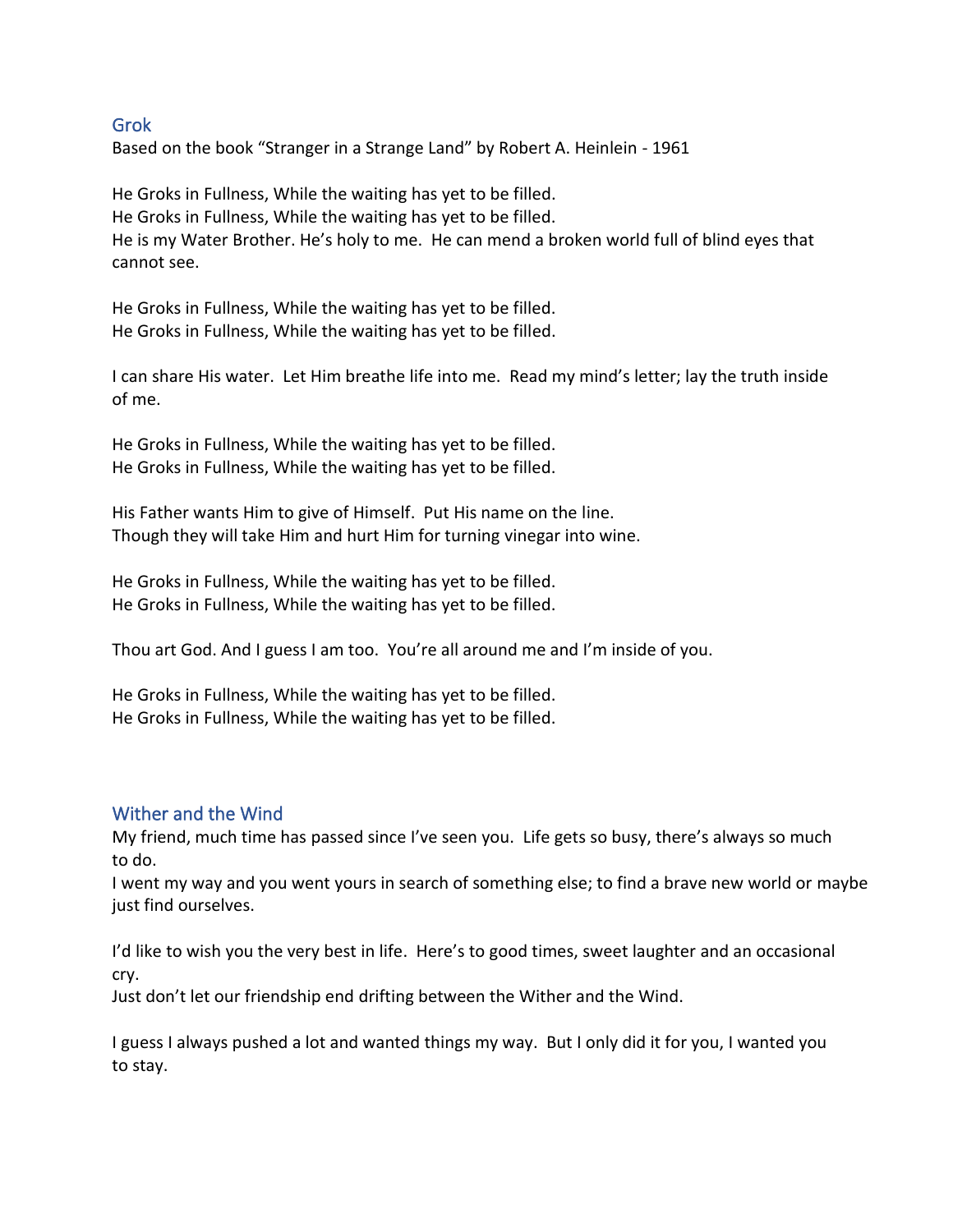### Grok

Based on the book "Stranger in a Strange Land" by Robert A. Heinlein - 1961

He Groks in Fullness, While the waiting has yet to be filled. He Groks in Fullness, While the waiting has yet to be filled. He is my Water Brother. He's holy to me. He can mend a broken world full of blind eyes that cannot see.

He Groks in Fullness, While the waiting has yet to be filled. He Groks in Fullness, While the waiting has yet to be filled.

I can share His water. Let Him breathe life into me. Read my mind's letter; lay the truth inside of me.

He Groks in Fullness, While the waiting has yet to be filled. He Groks in Fullness, While the waiting has yet to be filled.

His Father wants Him to give of Himself. Put His name on the line. Though they will take Him and hurt Him for turning vinegar into wine.

He Groks in Fullness, While the waiting has yet to be filled. He Groks in Fullness, While the waiting has yet to be filled.

Thou art God. And I guess I am too. You're all around me and I'm inside of you.

He Groks in Fullness, While the waiting has yet to be filled. He Groks in Fullness, While the waiting has yet to be filled.

#### Wither and the Wind

My friend, much time has passed since I've seen you. Life gets so busy, there's always so much to do.

I went my way and you went yours in search of something else; to find a brave new world or maybe just find ourselves.

I'd like to wish you the very best in life. Here's to good times, sweet laughter and an occasional cry.

Just don't let our friendship end drifting between the Wither and the Wind.

I guess I always pushed a lot and wanted things my way. But I only did it for you, I wanted you to stay.